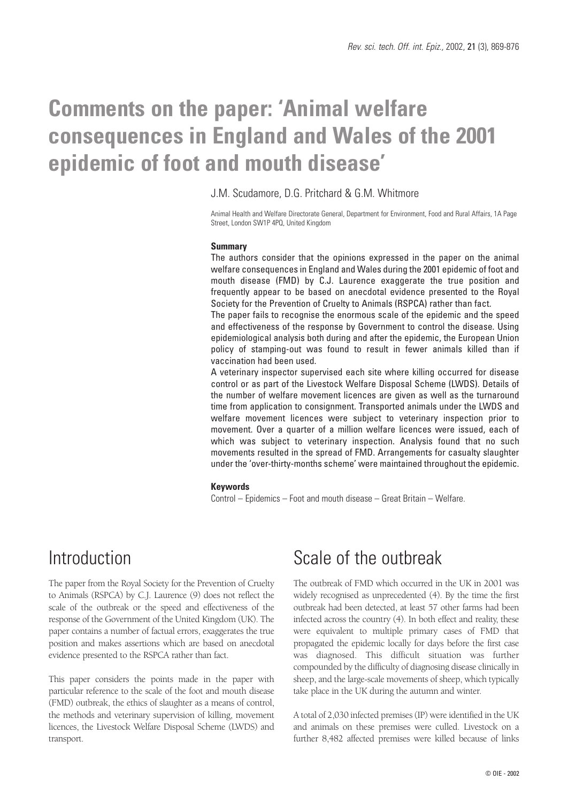# **Comments on the paper: 'Animal welfare consequences in England and Wales of the 2001 epidemic of foot and mouth disease'**

### J.M. Scudamore, D.G. Pritchard & G.M. Whitmore

Animal Health and Welfare Directorate General, Department for Environment, Food and Rural Affairs, 1A Page Street, London SW1P 4PQ, United Kingdom

#### **Summary**

The authors consider that the opinions expressed in the paper on the animal welfare consequences in England and Wales during the 2001 epidemic of foot and mouth disease (FMD) by C.J. Laurence exaggerate the true position and frequently appear to be based on anecdotal evidence presented to the Royal Society for the Prevention of Cruelty to Animals (RSPCA) rather than fact.

The paper fails to recognise the enormous scale of the epidemic and the speed and effectiveness of the response by Government to control the disease. Using epidemiological analysis both during and after the epidemic, the European Union policy of stamping-out was found to result in fewer animals killed than if vaccination had been used.

A veterinary inspector supervised each site where killing occurred for disease control or as part of the Livestock Welfare Disposal Scheme (LWDS). Details of the number of welfare movement licences are given as well as the turnaround time from application to consignment. Transported animals under the LWDS and welfare movement licences were subject to veterinary inspection prior to movement. Over a quarter of a million welfare licences were issued, each of which was subject to veterinary inspection. Analysis found that no such movements resulted in the spread of FMD. Arrangements for casualty slaughter under the 'over-thirty-months scheme' were maintained throughout the epidemic.

#### **Keywords**

Control – Epidemics – Foot and mouth disease – Great Britain – Welfare.

### Introduction

The paper from the Royal Society for the Prevention of Cruelty to Animals (RSPCA) by C.J. Laurence (9) does not reflect the scale of the outbreak or the speed and effectiveness of the response of the Government of the United Kingdom (UK). The paper contains a number of factual errors, exaggerates the true position and makes assertions which are based on anecdotal evidence presented to the RSPCA rather than fact.

This paper considers the points made in the paper with particular reference to the scale of the foot and mouth disease (FMD) outbreak, the ethics of slaughter as a means of control, the methods and veterinary supervision of killing, movement licences, the Livestock Welfare Disposal Scheme (LWDS) and transport.

## Scale of the outbreak

The outbreak of FMD which occurred in the UK in 2001 was widely recognised as unprecedented (4). By the time the first outbreak had been detected, at least 57 other farms had been infected across the country (4). In both effect and reality, these were equivalent to multiple primary cases of FMD that propagated the epidemic locally for days before the first case was diagnosed. This difficult situation was further compounded by the difficulty of diagnosing disease clinically in sheep, and the large-scale movements of sheep, which typically take place in the UK during the autumn and winter.

A total of 2,030 infected premises (IP) were identified in the UK and animals on these premises were culled. Livestock on a further 8,482 affected premises were killed because of links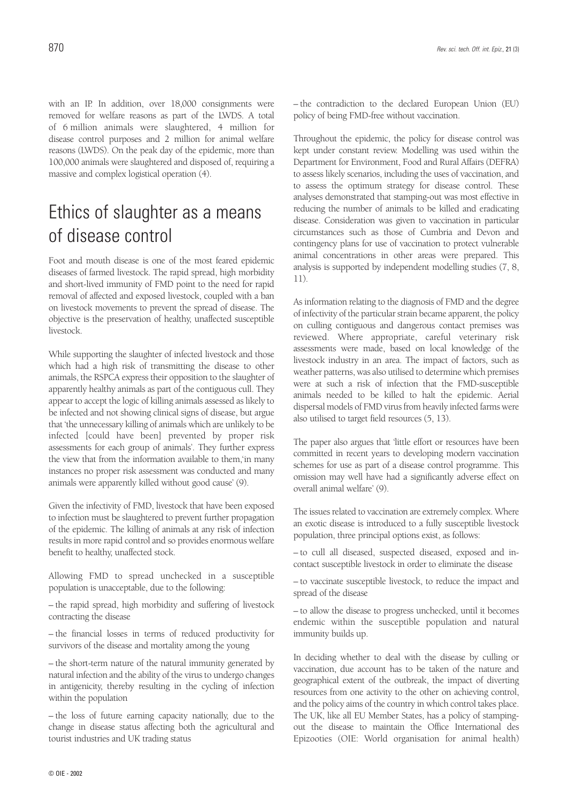with an IP. In addition, over 18,000 consignments were removed for welfare reasons as part of the LWDS. A total of 6 million animals were slaughtered, 4 million for disease control purposes and 2 million for animal welfare reasons (LWDS). On the peak day of the epidemic, more than 100,000 animals were slaughtered and disposed of, requiring a massive and complex logistical operation (4).

## Ethics of slaughter as a means of disease control

Foot and mouth disease is one of the most feared epidemic diseases of farmed livestock. The rapid spread, high morbidity and short-lived immunity of FMD point to the need for rapid removal of affected and exposed livestock, coupled with a ban on livestock movements to prevent the spread of disease. The objective is the preservation of healthy, unaffected susceptible livestock.

While supporting the slaughter of infected livestock and those which had a high risk of transmitting the disease to other animals, the RSPCA express their opposition to the slaughter of apparently healthy animals as part of the contiguous cull. They appear to accept the logic of killing animals assessed as likely to be infected and not showing clinical signs of disease, but argue that 'the unnecessary killing of animals which are unlikely to be infected [could have been] prevented by proper risk assessments for each group of animals'. They further express the view that from the information available to them,'in many instances no proper risk assessment was conducted and many animals were apparently killed without good cause' (9).

Given the infectivity of FMD, livestock that have been exposed to infection must be slaughtered to prevent further propagation of the epidemic. The killing of animals at any risk of infection results in more rapid control and so provides enormous welfare benefit to healthy, unaffected stock.

Allowing FMD to spread unchecked in a susceptible population is unacceptable, due to the following:

– the rapid spread, high morbidity and suffering of livestock contracting the disease

– the financial losses in terms of reduced productivity for survivors of the disease and mortality among the young

– the short-term nature of the natural immunity generated by natural infection and the ability of the virus to undergo changes in antigenicity, thereby resulting in the cycling of infection within the population

– the loss of future earning capacity nationally, due to the change in disease status affecting both the agricultural and tourist industries and UK trading status

– the contradiction to the declared European Union (EU) policy of being FMD-free without vaccination.

Throughout the epidemic, the policy for disease control was kept under constant review. Modelling was used within the Department for Environment, Food and Rural Affairs (DEFRA) to assess likely scenarios, including the uses of vaccination, and to assess the optimum strategy for disease control. These analyses demonstrated that stamping-out was most effective in reducing the number of animals to be killed and eradicating disease. Consideration was given to vaccination in particular circumstances such as those of Cumbria and Devon and contingency plans for use of vaccination to protect vulnerable animal concentrations in other areas were prepared. This analysis is supported by independent modelling studies (7, 8, 11).

As information relating to the diagnosis of FMD and the degree of infectivity of the particular strain became apparent, the policy on culling contiguous and dangerous contact premises was reviewed. Where appropriate, careful veterinary risk assessments were made, based on local knowledge of the livestock industry in an area. The impact of factors, such as weather patterns, was also utilised to determine which premises were at such a risk of infection that the FMD-susceptible animals needed to be killed to halt the epidemic. Aerial dispersal models of FMD virus from heavily infected farms were also utilised to target field resources (5, 13).

The paper also argues that 'little effort or resources have been committed in recent years to developing modern vaccination schemes for use as part of a disease control programme. This omission may well have had a significantly adverse effect on overall animal welfare' (9).

The issues related to vaccination are extremely complex. Where an exotic disease is introduced to a fully susceptible livestock population, three principal options exist, as follows:

– to cull all diseased, suspected diseased, exposed and incontact susceptible livestock in order to eliminate the disease

– to vaccinate susceptible livestock, to reduce the impact and spread of the disease

– to allow the disease to progress unchecked, until it becomes endemic within the susceptible population and natural immunity builds up.

In deciding whether to deal with the disease by culling or vaccination, due account has to be taken of the nature and geographical extent of the outbreak, the impact of diverting resources from one activity to the other on achieving control, and the policy aims of the country in which control takes place. The UK, like all EU Member States, has a policy of stampingout the disease to maintain the Office International des Epizooties (OIE: World organisation for animal health)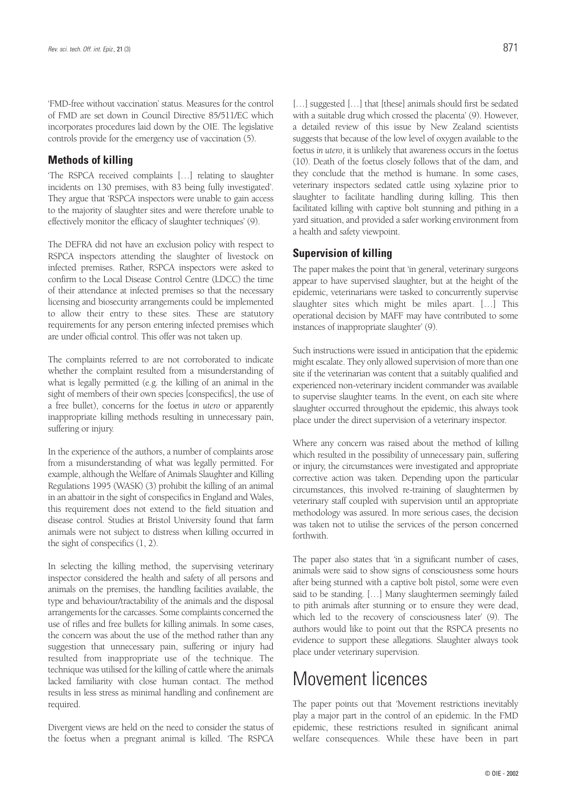'FMD-free without vaccination' status. Measures for the control of FMD are set down in Council Directive 85/511/EC which incorporates procedures laid down by the OIE. The legislative controls provide for the emergency use of vaccination (5).

### **Methods of killing**

'The RSPCA received complaints […] relating to slaughter incidents on 130 premises, with 83 being fully investigated'. They argue that 'RSPCA inspectors were unable to gain access to the majority of slaughter sites and were therefore unable to effectively monitor the efficacy of slaughter techniques' (9).

The DEFRA did not have an exclusion policy with respect to RSPCA inspectors attending the slaughter of livestock on infected premises. Rather, RSPCA inspectors were asked to confirm to the Local Disease Control Centre (LDCC) the time of their attendance at infected premises so that the necessary licensing and biosecurity arrangements could be implemented to allow their entry to these sites. These are statutory requirements for any person entering infected premises which are under official control. This offer was not taken up.

The complaints referred to are not corroborated to indicate whether the complaint resulted from a misunderstanding of what is legally permitted (e.g. the killing of an animal in the sight of members of their own species [conspecifics], the use of a free bullet), concerns for the foetus *in utero* or apparently inappropriate killing methods resulting in unnecessary pain, suffering or injury.

In the experience of the authors, a number of complaints arose from a misunderstanding of what was legally permitted. For example, although the Welfare of Animals Slaughter and Killing Regulations 1995 (WASK) (3) prohibit the killing of an animal in an abattoir in the sight of conspecifics in England and Wales, this requirement does not extend to the field situation and disease control. Studies at Bristol University found that farm animals were not subject to distress when killing occurred in the sight of conspecifics (1, 2).

In selecting the killing method, the supervising veterinary inspector considered the health and safety of all persons and animals on the premises, the handling facilities available, the type and behaviour/tractability of the animals and the disposal arrangements for the carcasses. Some complaints concerned the use of rifles and free bullets for killing animals. In some cases, the concern was about the use of the method rather than any suggestion that unnecessary pain, suffering or injury had resulted from inappropriate use of the technique. The technique was utilised for the killing of cattle where the animals lacked familiarity with close human contact. The method results in less stress as minimal handling and confinement are required.

Divergent views are held on the need to consider the status of the foetus when a pregnant animal is killed. 'The RSPCA

[...] suggested [...] that [these] animals should first be sedated with a suitable drug which crossed the placenta' (9). However, a detailed review of this issue by New Zealand scientists suggests that because of the low level of oxygen available to the foetus *in utero*, it is unlikely that awareness occurs in the foetus (10). Death of the foetus closely follows that of the dam, and they conclude that the method is humane. In some cases, veterinary inspectors sedated cattle using xylazine prior to slaughter to facilitate handling during killing. This then facilitated killing with captive bolt stunning and pithing in a yard situation, and provided a safer working environment from a health and safety viewpoint.

### **Supervision of killing**

The paper makes the point that 'in general, veterinary surgeons appear to have supervised slaughter, but at the height of the epidemic, veterinarians were tasked to concurrently supervise slaughter sites which might be miles apart. […] This operational decision by MAFF may have contributed to some instances of inappropriate slaughter' (9).

Such instructions were issued in anticipation that the epidemic might escalate. They only allowed supervision of more than one site if the veterinarian was content that a suitably qualified and experienced non-veterinary incident commander was available to supervise slaughter teams. In the event, on each site where slaughter occurred throughout the epidemic, this always took place under the direct supervision of a veterinary inspector.

Where any concern was raised about the method of killing which resulted in the possibility of unnecessary pain, suffering or injury, the circumstances were investigated and appropriate corrective action was taken. Depending upon the particular circumstances, this involved re-training of slaughtermen by veterinary staff coupled with supervision until an appropriate methodology was assured. In more serious cases, the decision was taken not to utilise the services of the person concerned forthwith.

The paper also states that 'in a significant number of cases, animals were said to show signs of consciousness some hours after being stunned with a captive bolt pistol, some were even said to be standing. […] Many slaughtermen seemingly failed to pith animals after stunning or to ensure they were dead, which led to the recovery of consciousness later' (9). The authors would like to point out that the RSPCA presents no evidence to support these allegations. Slaughter always took place under veterinary supervision.

### Movement licences

The paper points out that 'Movement restrictions inevitably play a major part in the control of an epidemic. In the FMD epidemic, these restrictions resulted in significant animal welfare consequences. While these have been in part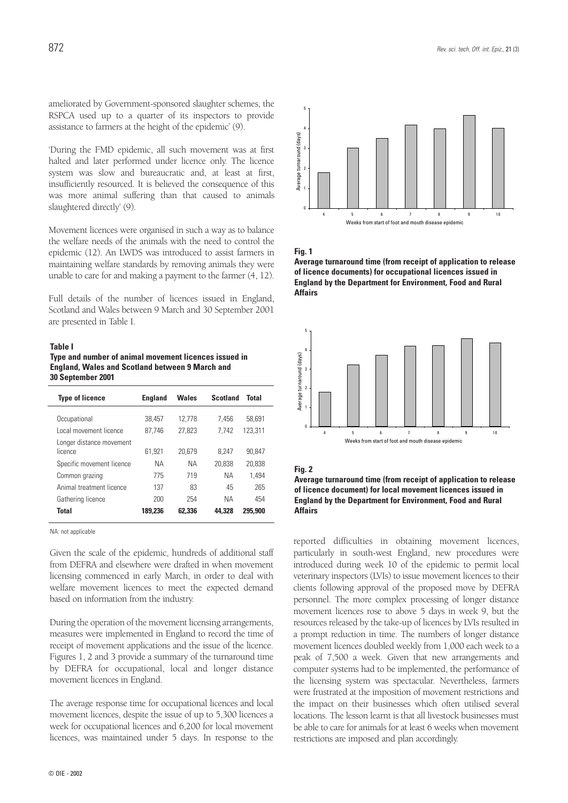ameliorated by Government-sponsored slaughter schemes, the RSPCA used up to a quarter of its inspectors to provide assistance to farmers at the height of the epidemic' (9).

'During the FMD epidemic, all such movement was at first halted and later performed under licence only. The licence system was slow and bureaucratic and, at least at first, insufficiently resourced. It is believed the consequence of this was more animal suffering than that caused to animals slaughtered directly' (9).

Movement licences were organised in such a way as to balance the welfare needs of the animals with the need to control the epidemic (12). An LWDS was introduced to assist farmers in maintaining welfare standards by removing animals they were unable to care for and making a payment to the farmer (4, 12).

Full details of the number of licences issued in England, Scotland and Wales between 9 March and 30 September 2001 are presented in Table I.

#### **Table I**

**Type and number of animal movement licences issued in England, Wales and Scotland between 9 March and 30 September 2001**

| <b>Type of licence</b>                 | <b>England</b>   | Wales            | <b>Scotland</b> | <b>Total</b>      |
|----------------------------------------|------------------|------------------|-----------------|-------------------|
| Occupational<br>Local movement licence | 38.457<br>87.746 | 12.778<br>27.823 | 7.456<br>7.742  | 58,691<br>123.311 |
| Longer distance movement<br>licence    | 61.921           | 20.679           | 8.247           | 90.847            |
| Specific movement licence              | NΑ               | NА               | 20.838          | 20.838            |
| Common grazing                         | 775              | 719              | NА              | 1.494             |
| Animal treatment licence               | 137              | 83               | 45              | 265               |
| Gathering licence                      | 200              | 254              | <b>NA</b>       | 454               |
| <b>Total</b>                           | 189.236          | 62,336           | 44.328          | 295,900           |

NA: not applicable

Given the scale of the epidemic, hundreds of additional staff from DEFRA and elsewhere were drafted in when movement licensing commenced in early March, in order to deal with welfare movement licences to meet the expected demand based on information from the industry.

During the operation of the movement licensing arrangements, measures were implemented in England to record the time of receipt of movement applications and the issue of the licence. Figures 1, 2 and 3 provide a summary of the turnaround time by DEFRA for occupational, local and longer distance movement licences in England.

The average response time for occupational licences and local movement licences, despite the issue of up to 5,300 licences a week for occupational licences and 6,200 for local movement licences, was maintained under 5 days. In response to the



**Fig. 1**

**Average turnaround time (from receipt of application to release of licence documents) for occupational licences issued in England by the Department for Environment, Food and Rural Affairs**



#### **Fig. 2**

**Average turnaround time (from receipt of application to release of licence document) for local movement licences issued in England by the Department for Environment, Food and Rural Affairs**

reported difficulties in obtaining movement licences, particularly in south-west England, new procedures were introduced during week 10 of the epidemic to permit local veterinary inspectors (LVIs) to issue movement licences to their clients following approval of the proposed move by DEFRA personnel. The more complex processing of longer distance movement licences rose to above 5 days in week 9, but the resources released by the take-up of licences by LVIs resulted in a prompt reduction in time. The numbers of longer distance movement licences doubled weekly from 1,000 each week to a peak of 7,500 a week. Given that new arrangements and computer systems had to be implemented, the performance of the licensing system was spectacular. Nevertheless, farmers were frustrated at the imposition of movement restrictions and the impact on their businesses which often utilised several locations. The lesson learnt is that all livestock businesses must be able to care for animals for at least 6 weeks when movement restrictions are imposed and plan accordingly.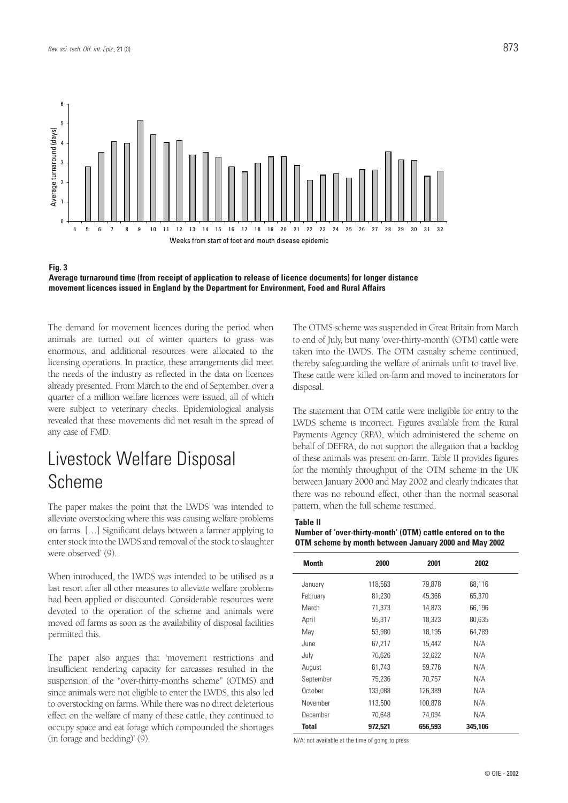



The demand for movement licences during the period when animals are turned out of winter quarters to grass was enormous, and additional resources were allocated to the licensing operations. In practice, these arrangements did meet the needs of the industry as reflected in the data on licences already presented. From March to the end of September, over a quarter of a million welfare licences were issued, all of which were subject to veterinary checks. Epidemiological analysis revealed that these movements did not result in the spread of any case of FMD.

## Livestock Welfare Disposal Scheme

The paper makes the point that the LWDS 'was intended to alleviate overstocking where this was causing welfare problems on farms. […] Significant delays between a farmer applying to enter stock into the LWDS and removal of the stock to slaughter were observed' (9).

When introduced, the LWDS was intended to be utilised as a last resort after all other measures to alleviate welfare problems had been applied or discounted. Considerable resources were devoted to the operation of the scheme and animals were moved off farms as soon as the availability of disposal facilities permitted this.

The paper also argues that 'movement restrictions and insufficient rendering capacity for carcasses resulted in the suspension of the "over-thirty-months scheme" (OTMS) and since animals were not eligible to enter the LWDS, this also led to overstocking on farms. While there was no direct deleterious effect on the welfare of many of these cattle, they continued to occupy space and eat forage which compounded the shortages (in forage and bedding)' (9).

The OTMS scheme was suspended in Great Britain from March to end of July, but many 'over-thirty-month' (OTM) cattle were taken into the LWDS. The OTM casualty scheme continued, thereby safeguarding the welfare of animals unfit to travel live. These cattle were killed on-farm and moved to incinerators for disposal.

The statement that OTM cattle were ineligible for entry to the LWDS scheme is incorrect. Figures available from the Rural Payments Agency (RPA), which administered the scheme on behalf of DEFRA, do not support the allegation that a backlog of these animals was present on-farm. Table II provides figures for the monthly throughput of the OTM scheme in the UK between January 2000 and May 2002 and clearly indicates that there was no rebound effect, other than the normal seasonal pattern, when the full scheme resumed.

#### **Table II Number of 'over-thirty-month' (OTM) cattle entered on to the OTM scheme by month between January 2000 and May 2002**

| <b>Month</b> | 2000    | 2001    | 2002    |  |
|--------------|---------|---------|---------|--|
| January      | 118,563 | 79,878  | 68,116  |  |
| February     | 81,230  | 45,366  | 65,370  |  |
| March        | 71.373  | 14.873  | 66.196  |  |
| April        | 55,317  | 18,323  | 80,635  |  |
| May          | 53,980  | 18,195  | 64,789  |  |
| June         | 67,217  | 15,442  | N/A     |  |
| July         | 70,626  | 32,622  | N/A     |  |
| August       | 61,743  | 59,776  | N/A     |  |
| September    | 75,236  | 70,757  | N/A     |  |
| October      | 133,088 | 126,389 | N/A     |  |
| November     | 113,500 | 100,878 | N/A     |  |
| December     | 70.648  | 74,094  | N/A     |  |
| <b>Total</b> | 972.521 | 656,593 | 345,106 |  |

N/A: not available at the time of going to press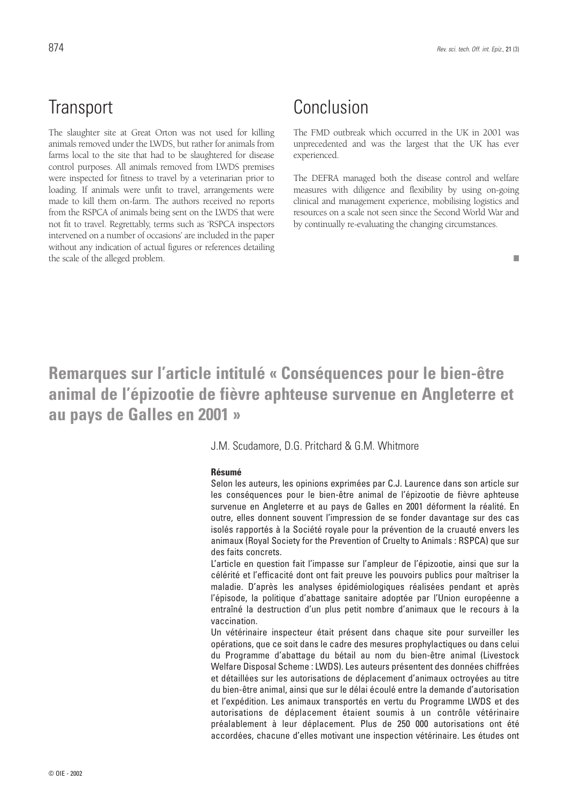## **Transport**

The slaughter site at Great Orton was not used for killing animals removed under the LWDS, but rather for animals from farms local to the site that had to be slaughtered for disease control purposes. All animals removed from LWDS premises were inspected for fitness to travel by a veterinarian prior to loading. If animals were unfit to travel, arrangements were made to kill them on-farm. The authors received no reports from the RSPCA of animals being sent on the LWDS that were not fit to travel. Regrettably, terms such as 'RSPCA inspectors intervened on a number of occasions' are included in the paper without any indication of actual figures or references detailing the scale of the alleged problem.

## Conclusion

The FMD outbreak which occurred in the UK in 2001 was unprecedented and was the largest that the UK has ever experienced.

The DEFRA managed both the disease control and welfare measures with diligence and flexibility by using on-going clinical and management experience, mobilising logistics and resources on a scale not seen since the Second World War and by continually re-evaluating the changing circumstances.

#### ■

## **Remarques sur l'article intitulé « Conséquences pour le bien-être animal de l'épizootie de fièvre aphteuse survenue en Angleterre et au pays de Galles en 2001 »**

### J.M. Scudamore, D.G. Pritchard & G.M. Whitmore

#### **Résumé**

Selon les auteurs, les opinions exprimées par C.J. Laurence dans son article sur les conséquences pour le bien-être animal de l'épizootie de fièvre aphteuse survenue en Angleterre et au pays de Galles en 2001 déforment la réalité. En outre, elles donnent souvent l'impression de se fonder davantage sur des cas isolés rapportés à la Société royale pour la prévention de la cruauté envers les animaux (Royal Society for the Prevention of Cruelty to Animals : RSPCA) que sur des faits concrets.

L'article en question fait l'impasse sur l'ampleur de l'épizootie, ainsi que sur la célérité et l'efficacité dont ont fait preuve les pouvoirs publics pour maîtriser la maladie. D'après les analyses épidémiologiques réalisées pendant et après l'épisode, la politique d'abattage sanitaire adoptée par l'Union européenne a entraîné la destruction d'un plus petit nombre d'animaux que le recours à la vaccination.

Un vétérinaire inspecteur était présent dans chaque site pour surveiller les opérations, que ce soit dans le cadre des mesures prophylactiques ou dans celui du Programme d'abattage du bétail au nom du bien-être animal (Livestock Welfare Disposal Scheme : LWDS). Les auteurs présentent des données chiffrées et détaillées sur les autorisations de déplacement d'animaux octroyées au titre du bien-être animal, ainsi que sur le délai écoulé entre la demande d'autorisation et l'expédition. Les animaux transportés en vertu du Programme LWDS et des autorisations de déplacement étaient soumis à un contrôle vétérinaire préalablement à leur déplacement. Plus de 250 000 autorisations ont été accordées, chacune d'elles motivant une inspection vétérinaire. Les études ont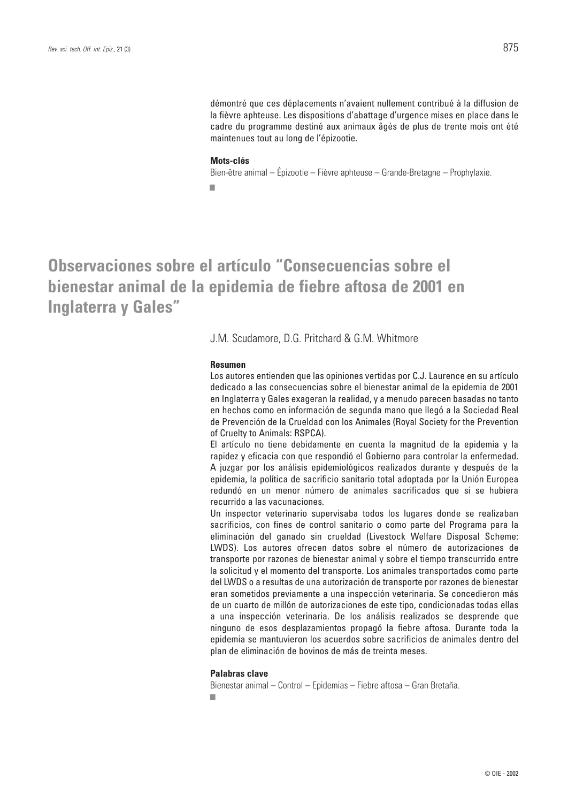démontré que ces déplacements n'avaient nullement contribué à la diffusion de la fièvre aphteuse. Les dispositions d'abattage d'urgence mises en place dans le cadre du programme destiné aux animaux âgés de plus de trente mois ont été maintenues tout au long de l'épizootie.

#### **Mots-clés**

Bien-être animal – Épizootie – Fièvre aphteuse – Grande-Bretagne – Prophylaxie. ■

**Observaciones sobre el artículo "Consecuencias sobre el bienestar animal de la epidemia de fiebre aftosa de 2001 en Inglaterra y Gales"**

J.M. Scudamore, D.G. Pritchard & G.M. Whitmore

#### **Resumen**

Los autores entienden que las opiniones vertidas por C.J. Laurence en su artículo dedicado a las consecuencias sobre el bienestar animal de la epidemia de 2001 en Inglaterra y Gales exageran la realidad, y a menudo parecen basadas no tanto en hechos como en información de segunda mano que llegó a la Sociedad Real de Prevención de la Crueldad con los Animales (Royal Society for the Prevention of Cruelty to Animals: RSPCA).

El artículo no tiene debidamente en cuenta la magnitud de la epidemia y la rapidez y eficacia con que respondió el Gobierno para controlar la enfermedad. A juzgar por los análisis epidemiológicos realizados durante y después de la epidemia, la política de sacrificio sanitario total adoptada por la Unión Europea redundó en un menor número de animales sacrificados que si se hubiera recurrido a las vacunaciones.

Un inspector veterinario supervisaba todos los lugares donde se realizaban sacrificios, con fines de control sanitario o como parte del Programa para la eliminación del ganado sin crueldad (Livestock Welfare Disposal Scheme: LWDS). Los autores ofrecen datos sobre el número de autorizaciones de transporte por razones de bienestar animal y sobre el tiempo transcurrido entre la solicitud y el momento del transporte. Los animales transportados como parte del LWDS o a resultas de una autorización de transporte por razones de bienestar eran sometidos previamente a una inspección veterinaria. Se concedieron más de un cuarto de millón de autorizaciones de este tipo, condicionadas todas ellas a una inspección veterinaria. De los análisis realizados se desprende que ninguno de esos desplazamientos propagó la fiebre aftosa. Durante toda la epidemia se mantuvieron los acuerdos sobre sacrificios de animales dentro del plan de eliminación de bovinos de más de treinta meses.

#### **Palabras clave**

Bienestar animal – Control – Epidemias – Fiebre aftosa – Gran Bretaña. ■